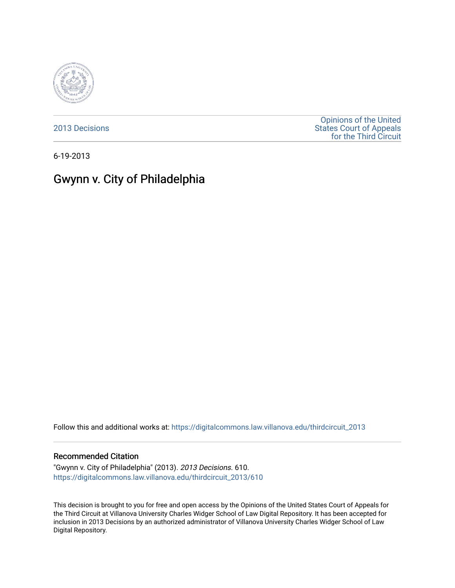

[2013 Decisions](https://digitalcommons.law.villanova.edu/thirdcircuit_2013)

[Opinions of the United](https://digitalcommons.law.villanova.edu/thirdcircuit)  [States Court of Appeals](https://digitalcommons.law.villanova.edu/thirdcircuit)  [for the Third Circuit](https://digitalcommons.law.villanova.edu/thirdcircuit) 

6-19-2013

# Gwynn v. City of Philadelphia

Follow this and additional works at: [https://digitalcommons.law.villanova.edu/thirdcircuit\\_2013](https://digitalcommons.law.villanova.edu/thirdcircuit_2013?utm_source=digitalcommons.law.villanova.edu%2Fthirdcircuit_2013%2F610&utm_medium=PDF&utm_campaign=PDFCoverPages) 

#### Recommended Citation

"Gwynn v. City of Philadelphia" (2013). 2013 Decisions. 610. [https://digitalcommons.law.villanova.edu/thirdcircuit\\_2013/610](https://digitalcommons.law.villanova.edu/thirdcircuit_2013/610?utm_source=digitalcommons.law.villanova.edu%2Fthirdcircuit_2013%2F610&utm_medium=PDF&utm_campaign=PDFCoverPages)

This decision is brought to you for free and open access by the Opinions of the United States Court of Appeals for the Third Circuit at Villanova University Charles Widger School of Law Digital Repository. It has been accepted for inclusion in 2013 Decisions by an authorized administrator of Villanova University Charles Widger School of Law Digital Repository.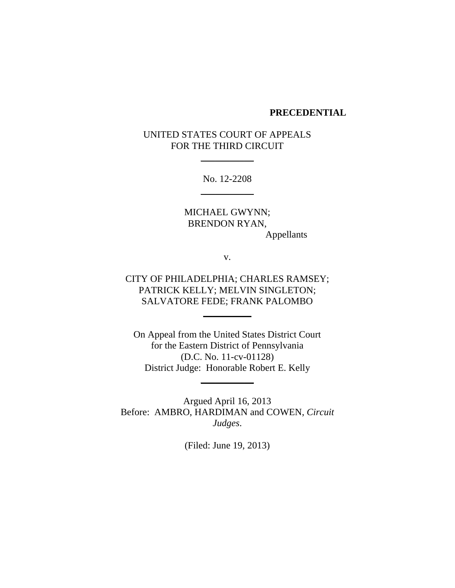### **PRECEDENTIAL**

## UNITED STATES COURT OF APPEALS FOR THE THIRD CIRCUIT

 $\overline{\phantom{a}}$  , where  $\overline{\phantom{a}}$ 

No. 12-2208  $\overline{\phantom{a}}$  , where  $\overline{\phantom{a}}$ 

MICHAEL GWYNN; BRENDON RYAN, Appellants

v.

## CITY OF PHILADELPHIA; CHARLES RAMSEY; PATRICK KELLY; MELVIN SINGLETON; SALVATORE FEDE; FRANK PALOMBO

 $\overline{\phantom{a}}$ 

On Appeal from the United States District Court for the Eastern District of Pennsylvania (D.C. No. 11-cv-01128) District Judge: Honorable Robert E. Kelly

 $\overline{\phantom{a}}$ 

Argued April 16, 2013 Before: AMBRO, HARDIMAN and COWEN, *Circuit Judges*.

(Filed: June 19, 2013)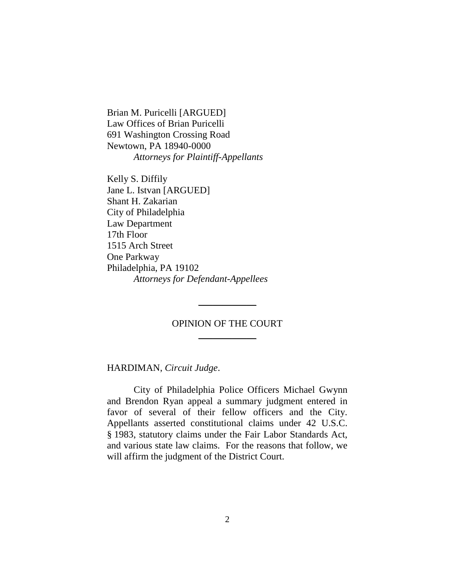Brian M. Puricelli [ARGUED] Law Offices of Brian Puricelli 691 Washington Crossing Road Newtown, PA 18940-0000 *Attorneys for Plaintiff-Appellants*

Kelly S. Diffily Jane L. Istvan [ARGUED] Shant H. Zakarian City of Philadelphia Law Department 17th Floor 1515 Arch Street One Parkway Philadelphia, PA 19102 *Attorneys for Defendant-Appellees*

### OPINION OF THE COURT  $\frac{1}{2}$

\_\_\_\_\_\_\_\_\_\_\_\_

HARDIMAN, *Circuit Judge*.

City of Philadelphia Police Officers Michael Gwynn and Brendon Ryan appeal a summary judgment entered in favor of several of their fellow officers and the City. Appellants asserted constitutional claims under 42 U.S.C. § 1983, statutory claims under the Fair Labor Standards Act, and various state law claims. For the reasons that follow, we will affirm the judgment of the District Court.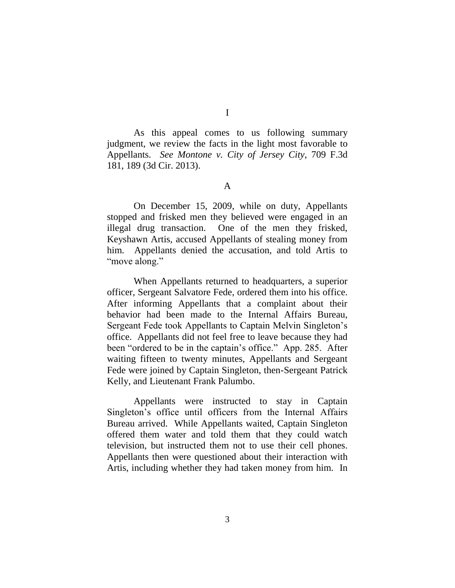As this appeal comes to us following summary judgment, we review the facts in the light most favorable to Appellants. *See Montone v. City of Jersey City*, 709 F.3d 181, 189 (3d Cir. 2013).

A

On December 15, 2009, while on duty, Appellants stopped and frisked men they believed were engaged in an illegal drug transaction. One of the men they frisked, Keyshawn Artis, accused Appellants of stealing money from him. Appellants denied the accusation, and told Artis to "move along."

When Appellants returned to headquarters, a superior officer, Sergeant Salvatore Fede, ordered them into his office. After informing Appellants that a complaint about their behavior had been made to the Internal Affairs Bureau, Sergeant Fede took Appellants to Captain Melvin Singleton's office. Appellants did not feel free to leave because they had been "ordered to be in the captain's office." App. 285. After waiting fifteen to twenty minutes, Appellants and Sergeant Fede were joined by Captain Singleton, then-Sergeant Patrick Kelly, and Lieutenant Frank Palumbo.

Appellants were instructed to stay in Captain Singleton's office until officers from the Internal Affairs Bureau arrived. While Appellants waited, Captain Singleton offered them water and told them that they could watch television, but instructed them not to use their cell phones. Appellants then were questioned about their interaction with Artis, including whether they had taken money from him. In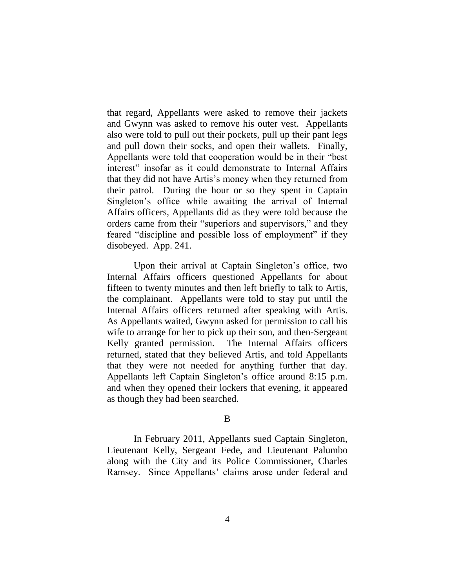that regard, Appellants were asked to remove their jackets and Gwynn was asked to remove his outer vest. Appellants also were told to pull out their pockets, pull up their pant legs and pull down their socks, and open their wallets. Finally, Appellants were told that cooperation would be in their "best" interest" insofar as it could demonstrate to Internal Affairs that they did not have Artis's money when they returned from their patrol. During the hour or so they spent in Captain Singleton's office while awaiting the arrival of Internal Affairs officers, Appellants did as they were told because the orders came from their "superiors and supervisors," and they feared "discipline and possible loss of employment" if they disobeyed. App. 241.

Upon their arrival at Captain Singleton's office, two Internal Affairs officers questioned Appellants for about fifteen to twenty minutes and then left briefly to talk to Artis, the complainant. Appellants were told to stay put until the Internal Affairs officers returned after speaking with Artis. As Appellants waited, Gwynn asked for permission to call his wife to arrange for her to pick up their son, and then-Sergeant Kelly granted permission. The Internal Affairs officers returned, stated that they believed Artis, and told Appellants that they were not needed for anything further that day. Appellants left Captain Singleton's office around 8:15 p.m. and when they opened their lockers that evening, it appeared as though they had been searched.

#### B

In February 2011, Appellants sued Captain Singleton, Lieutenant Kelly, Sergeant Fede, and Lieutenant Palumbo along with the City and its Police Commissioner, Charles Ramsey. Since Appellants' claims arose under federal and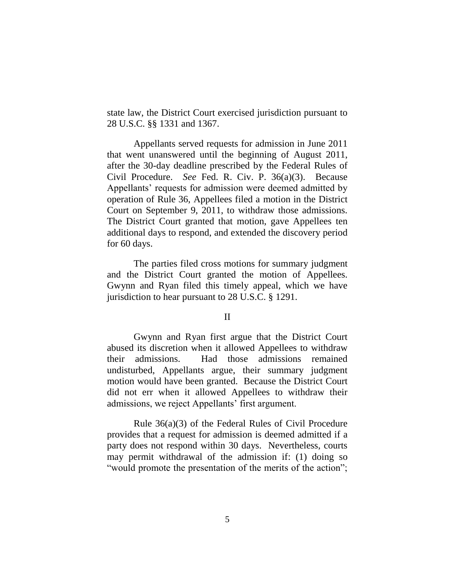state law, the District Court exercised jurisdiction pursuant to 28 U.S.C. §§ 1331 and 1367.

Appellants served requests for admission in June 2011 that went unanswered until the beginning of August 2011, after the 30-day deadline prescribed by the Federal Rules of Civil Procedure. *See* Fed. R. Civ. P. 36(a)(3). Because Appellants' requests for admission were deemed admitted by operation of Rule 36, Appellees filed a motion in the District Court on September 9, 2011, to withdraw those admissions. The District Court granted that motion, gave Appellees ten additional days to respond, and extended the discovery period for 60 days.

The parties filed cross motions for summary judgment and the District Court granted the motion of Appellees. Gwynn and Ryan filed this timely appeal, which we have jurisdiction to hear pursuant to 28 U.S.C. § 1291.

### II

Gwynn and Ryan first argue that the District Court abused its discretion when it allowed Appellees to withdraw their admissions. Had those admissions remained undisturbed, Appellants argue, their summary judgment motion would have been granted. Because the District Court did not err when it allowed Appellees to withdraw their admissions, we reject Appellants' first argument.

Rule 36(a)(3) of the Federal Rules of Civil Procedure provides that a request for admission is deemed admitted if a party does not respond within 30 days. Nevertheless, courts may permit withdrawal of the admission if: (1) doing so "would promote the presentation of the merits of the action";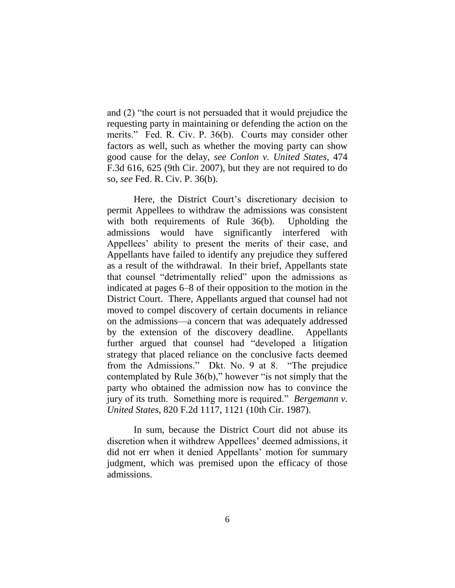and  $(2)$  "the court is not persuaded that it would prejudice the requesting party in maintaining or defending the action on the merits." Fed. R. Civ. P. 36(b). Courts may consider other factors as well, such as whether the moving party can show good cause for the delay, *see Conlon v. United States*, 474 F.3d 616, 625 (9th Cir. 2007), but they are not required to do so, *see* Fed. R. Civ. P. 36(b).

Here, the District Court's discretionary decision to permit Appellees to withdraw the admissions was consistent with both requirements of Rule 36(b). Upholding the admissions would have significantly interfered with Appellees' ability to present the merits of their case, and Appellants have failed to identify any prejudice they suffered as a result of the withdrawal. In their brief, Appellants state that counsel "detrimentally relied" upon the admissions as indicated at pages 6–8 of their opposition to the motion in the District Court. There, Appellants argued that counsel had not moved to compel discovery of certain documents in reliance on the admissions—a concern that was adequately addressed by the extension of the discovery deadline. Appellants further argued that counsel had "developed a litigation" strategy that placed reliance on the conclusive facts deemed from the Admissions." Dkt. No. 9 at 8. "The prejudice contemplated by Rule  $36(b)$ ," however "is not simply that the party who obtained the admission now has to convince the jury of its truth. Something more is required." *Bergemann v. United States*, 820 F.2d 1117, 1121 (10th Cir. 1987).

In sum, because the District Court did not abuse its discretion when it withdrew Appellees' deemed admissions, it did not err when it denied Appellants' motion for summary judgment, which was premised upon the efficacy of those admissions.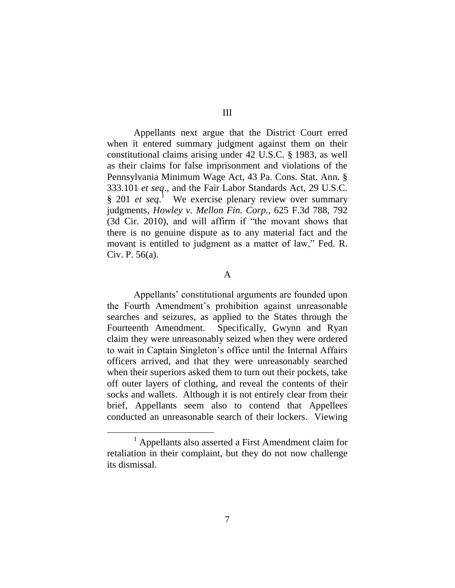Appellants next argue that the District Court erred when it entered summary judgment against them on their constitutional claims arising under 42 U.S.C. § 1983, as well as their claims for false imprisonment and violations of the Pennsylvania Minimum Wage Act, 43 Pa. Cons. Stat. Ann. § 333.101 *et seq*., and the Fair Labor Standards Act, 29 U.S.C. § 201 *et seq*. 1 We exercise plenary review over summary judgments, *Howley v. Mellon Fin. Corp.*, 625 F.3d 788, 792  $(3d)$  Cir. 2010), and will affirm if "the movant shows that there is no genuine dispute as to any material fact and the movant is entitled to judgment as a matter of law," Fed. R. Civ. P. 56(a).

### A

Appellants' constitutional arguments are founded upon the Fourth Amendment's prohibition against unreasonable searches and seizures, as applied to the States through the Fourteenth Amendment. Specifically, Gwynn and Ryan claim they were unreasonably seized when they were ordered to wait in Captain Singleton's office until the Internal Affairs officers arrived, and that they were unreasonably searched when their superiors asked them to turn out their pockets, take off outer layers of clothing, and reveal the contents of their socks and wallets. Although it is not entirely clear from their brief, Appellants seem also to contend that Appellees conducted an unreasonable search of their lockers. Viewing

<sup>&</sup>lt;sup>1</sup> Appellants also asserted a First Amendment claim for retaliation in their complaint, but they do not now challenge its dismissal.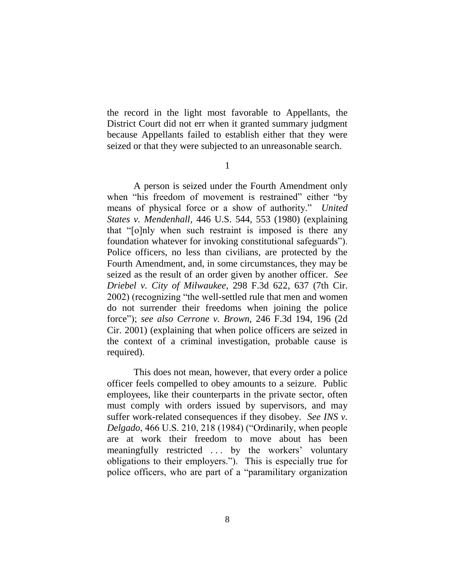the record in the light most favorable to Appellants, the District Court did not err when it granted summary judgment because Appellants failed to establish either that they were seized or that they were subjected to an unreasonable search.

1

A person is seized under the Fourth Amendment only when "his freedom of movement is restrained" either "by" means of physical force or a show of authority." *United States v. Mendenhall*, 446 U.S. 544, 553 (1980) (explaining that "[o]nly when such restraint is imposed is there any foundation whatever for invoking constitutional safeguards"). Police officers, no less than civilians, are protected by the Fourth Amendment, and, in some circumstances, they may be seized as the result of an order given by another officer. *See Driebel v. City of Milwaukee*, 298 F.3d 622, 637 (7th Cir. 2002) (recognizing "the well-settled rule that men and women do not surrender their freedoms when joining the police force‖); *see also Cerrone v. Brown*, 246 F.3d 194, 196 (2d Cir. 2001) (explaining that when police officers are seized in the context of a criminal investigation, probable cause is required).

This does not mean, however, that every order a police officer feels compelled to obey amounts to a seizure. Public employees, like their counterparts in the private sector, often must comply with orders issued by supervisors, and may suffer work-related consequences if they disobey. *See INS v. Delgado*, 466 U.S. 210, 218 (1984) ("Ordinarily, when people are at work their freedom to move about has been meaningfully restricted . . . by the workers' voluntary obligations to their employers."). This is especially true for police officers, who are part of a "paramilitary organization"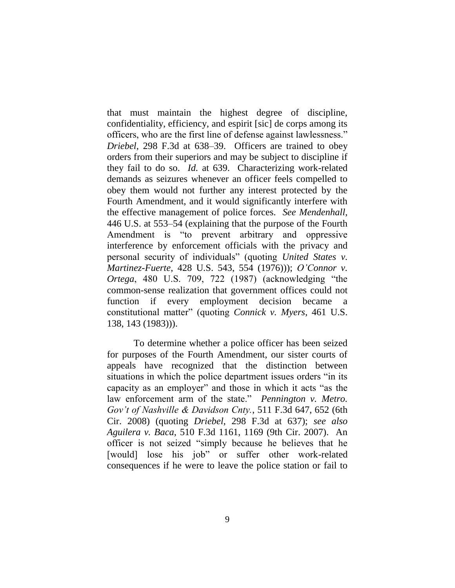that must maintain the highest degree of discipline, confidentiality, efficiency, and espirit [sic] de corps among its officers, who are the first line of defense against lawlessness." *Driebel*, 298 F.3d at 638–39. Officers are trained to obey orders from their superiors and may be subject to discipline if they fail to do so. *Id.* at 639. Characterizing work-related demands as seizures whenever an officer feels compelled to obey them would not further any interest protected by the Fourth Amendment, and it would significantly interfere with the effective management of police forces. *See Mendenhall*, 446 U.S. at 553–54 (explaining that the purpose of the Fourth Amendment is "to prevent arbitrary and oppressive interference by enforcement officials with the privacy and personal security of individuals" (quoting *United States v. Martinez-Fuerte*, 428 U.S. 543, 554 (1976))); *O'Connor v. Ortega*, 480 U.S. 709, 722 (1987) (acknowledging "the common-sense realization that government offices could not function if every employment decision became a constitutional matter‖ (quoting *Connick v. Myers*, 461 U.S. 138, 143 (1983))).

To determine whether a police officer has been seized for purposes of the Fourth Amendment, our sister courts of appeals have recognized that the distinction between situations in which the police department issues orders "in its" capacity as an employer" and those in which it acts "as the law enforcement arm of the state." *Pennington v. Metro. Gov't of Nashville & Davidson Cnty.*, 511 F.3d 647, 652 (6th Cir. 2008) (quoting *Driebel*, 298 F.3d at 637); *see also Aguilera v. Baca*, 510 F.3d 1161, 1169 (9th Cir. 2007). An officer is not seized "simply because he believes that he [would] lose his job" or suffer other work-related consequences if he were to leave the police station or fail to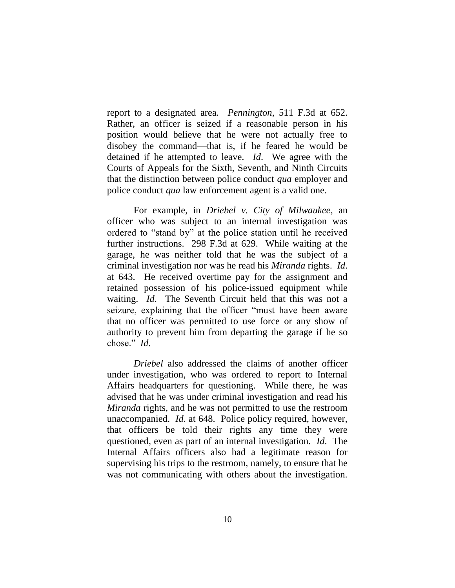report to a designated area. *Pennington*, 511 F.3d at 652. Rather, an officer is seized if a reasonable person in his position would believe that he were not actually free to disobey the command—that is, if he feared he would be detained if he attempted to leave. *Id*. We agree with the Courts of Appeals for the Sixth, Seventh, and Ninth Circuits that the distinction between police conduct *qua* employer and police conduct *qua* law enforcement agent is a valid one.

For example, in *Driebel v. City of Milwaukee*, an officer who was subject to an internal investigation was ordered to "stand by" at the police station until he received further instructions. 298 F.3d at 629. While waiting at the garage, he was neither told that he was the subject of a criminal investigation nor was he read his *Miranda* rights. *Id*. at 643. He received overtime pay for the assignment and retained possession of his police-issued equipment while waiting. *Id*. The Seventh Circuit held that this was not a seizure, explaining that the officer "must have been aware that no officer was permitted to use force or any show of authority to prevent him from departing the garage if he so chose." *Id.* 

*Driebel* also addressed the claims of another officer under investigation, who was ordered to report to Internal Affairs headquarters for questioning. While there, he was advised that he was under criminal investigation and read his *Miranda* rights, and he was not permitted to use the restroom unaccompanied. *Id*. at 648. Police policy required, however, that officers be told their rights any time they were questioned, even as part of an internal investigation. *Id*. The Internal Affairs officers also had a legitimate reason for supervising his trips to the restroom, namely, to ensure that he was not communicating with others about the investigation.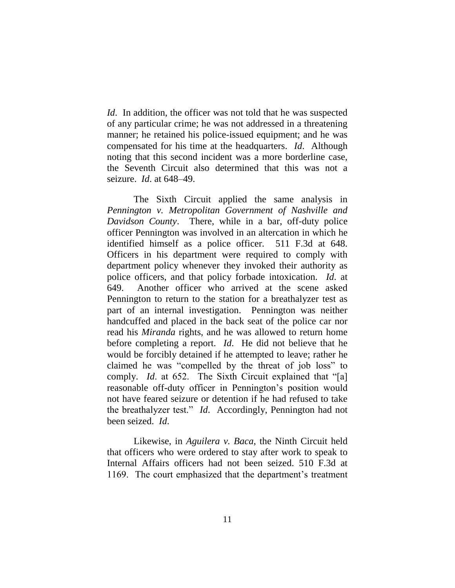*Id.* In addition, the officer was not told that he was suspected of any particular crime; he was not addressed in a threatening manner; he retained his police-issued equipment; and he was compensated for his time at the headquarters. *Id*. Although noting that this second incident was a more borderline case, the Seventh Circuit also determined that this was not a seizure. *Id*. at 648–49.

The Sixth Circuit applied the same analysis in *Pennington v. Metropolitan Government of Nashville and Davidson County*. There, while in a bar, off-duty police officer Pennington was involved in an altercation in which he identified himself as a police officer. 511 F.3d at 648. Officers in his department were required to comply with department policy whenever they invoked their authority as police officers, and that policy forbade intoxication. *Id*. at 649. Another officer who arrived at the scene asked Pennington to return to the station for a breathalyzer test as part of an internal investigation. Pennington was neither handcuffed and placed in the back seat of the police car nor read his *Miranda* rights, and he was allowed to return home before completing a report. *Id*. He did not believe that he would be forcibly detained if he attempted to leave; rather he claimed he was "compelled by the threat of job loss" to comply. *Id.* at 652. The Sixth Circuit explained that "[a] reasonable off-duty officer in Pennington's position would not have feared seizure or detention if he had refused to take the breathalyzer test." *Id.* Accordingly, Pennington had not been seized. *Id*.

Likewise, in *Aguilera v. Baca*, the Ninth Circuit held that officers who were ordered to stay after work to speak to Internal Affairs officers had not been seized. 510 F.3d at 1169. The court emphasized that the department's treatment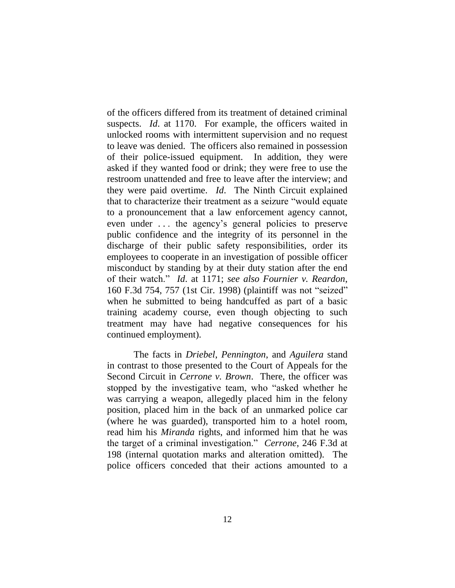of the officers differed from its treatment of detained criminal suspects. *Id*. at 1170. For example, the officers waited in unlocked rooms with intermittent supervision and no request to leave was denied. The officers also remained in possession of their police-issued equipment. In addition, they were asked if they wanted food or drink; they were free to use the restroom unattended and free to leave after the interview; and they were paid overtime. *Id*. The Ninth Circuit explained that to characterize their treatment as a seizure "would equate to a pronouncement that a law enforcement agency cannot, even under ... the agency's general policies to preserve public confidence and the integrity of its personnel in the discharge of their public safety responsibilities, order its employees to cooperate in an investigation of possible officer misconduct by standing by at their duty station after the end of their watch.‖ *Id*. at 1171; *see also Fournier v. Reardon*, 160 F.3d 754, 757 (1st Cir. 1998) (plaintiff was not "seized" when he submitted to being handcuffed as part of a basic training academy course, even though objecting to such treatment may have had negative consequences for his continued employment).

The facts in *Driebel*, *Pennington*, and *Aguilera* stand in contrast to those presented to the Court of Appeals for the Second Circuit in *Cerrone v. Brown*. There, the officer was stopped by the investigative team, who "asked whether he was carrying a weapon, allegedly placed him in the felony position, placed him in the back of an unmarked police car (where he was guarded), transported him to a hotel room, read him his *Miranda* rights, and informed him that he was the target of a criminal investigation.‖ *Cerrone*, 246 F.3d at 198 (internal quotation marks and alteration omitted). The police officers conceded that their actions amounted to a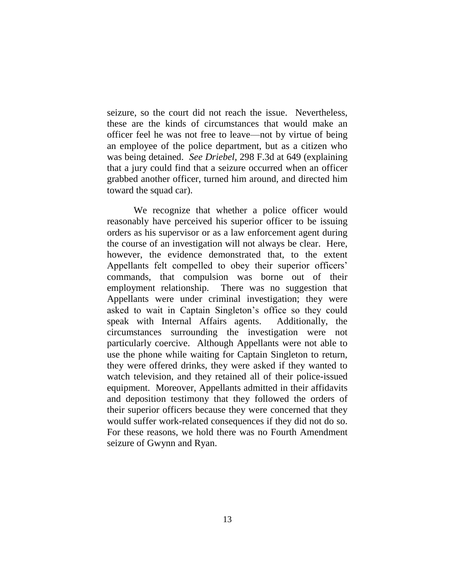seizure, so the court did not reach the issue. Nevertheless, these are the kinds of circumstances that would make an officer feel he was not free to leave—not by virtue of being an employee of the police department, but as a citizen who was being detained. *See Driebel*, 298 F.3d at 649 (explaining that a jury could find that a seizure occurred when an officer grabbed another officer, turned him around, and directed him toward the squad car).

We recognize that whether a police officer would reasonably have perceived his superior officer to be issuing orders as his supervisor or as a law enforcement agent during the course of an investigation will not always be clear. Here, however, the evidence demonstrated that, to the extent Appellants felt compelled to obey their superior officers' commands, that compulsion was borne out of their employment relationship. There was no suggestion that Appellants were under criminal investigation; they were asked to wait in Captain Singleton's office so they could speak with Internal Affairs agents. Additionally, the circumstances surrounding the investigation were not particularly coercive. Although Appellants were not able to use the phone while waiting for Captain Singleton to return, they were offered drinks, they were asked if they wanted to watch television, and they retained all of their police-issued equipment. Moreover, Appellants admitted in their affidavits and deposition testimony that they followed the orders of their superior officers because they were concerned that they would suffer work-related consequences if they did not do so. For these reasons, we hold there was no Fourth Amendment seizure of Gwynn and Ryan.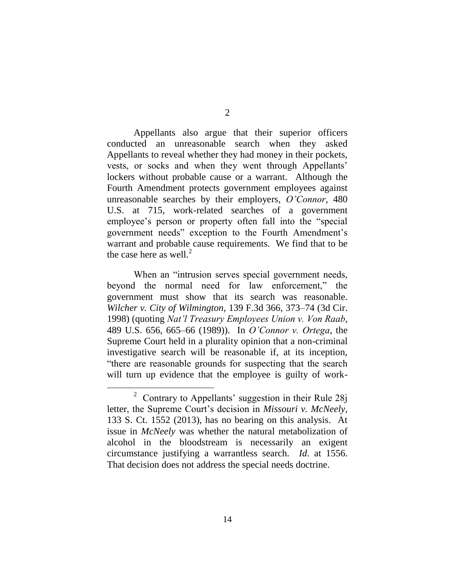Appellants also argue that their superior officers conducted an unreasonable search when they asked Appellants to reveal whether they had money in their pockets, vests, or socks and when they went through Appellants' lockers without probable cause or a warrant. Although the Fourth Amendment protects government employees against unreasonable searches by their employers, *O'Connor*, 480 U.S. at 715, work-related searches of a government employee's person or property often fall into the "special" government needs" exception to the Fourth Amendment's warrant and probable cause requirements. We find that to be the case here as well. $<sup>2</sup>$ </sup>

When an "intrusion serves special government needs, beyond the normal need for law enforcement," the government must show that its search was reasonable. *Wilcher v. City of Wilmington*, 139 F.3d 366, 373–74 (3d Cir. 1998) (quoting *Nat'l Treasury Employees Union v. Von Raab*, 489 U.S. 656, 665–66 (1989)). In *O'Connor v. Ortega*, the Supreme Court held in a plurality opinion that a non-criminal investigative search will be reasonable if, at its inception, "there are reasonable grounds for suspecting that the search will turn up evidence that the employee is guilty of work-

<sup>2</sup> Contrary to Appellants' suggestion in their Rule 28j letter, the Supreme Court's decision in *Missouri v. McNeely*, 133 S. Ct. 1552 (2013), has no bearing on this analysis. At issue in *McNeely* was whether the natural metabolization of alcohol in the bloodstream is necessarily an exigent circumstance justifying a warrantless search. *Id*. at 1556. That decision does not address the special needs doctrine.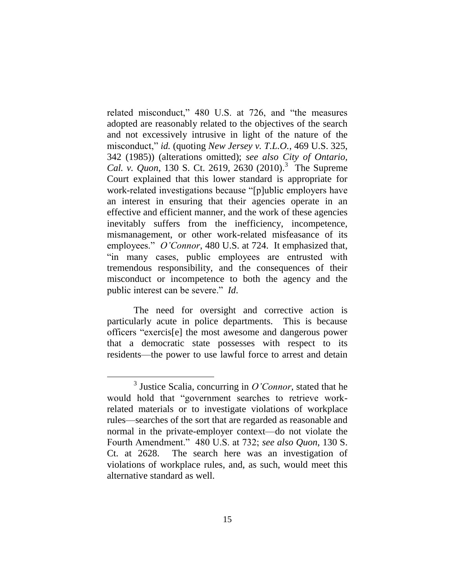related misconduct,"  $480$  U.S. at 726, and "the measures" adopted are reasonably related to the objectives of the search and not excessively intrusive in light of the nature of the misconduct," *id.* (quoting *New Jersey v. T.L.O.*, 469 U.S. 325, 342 (1985)) (alterations omitted); *see also City of Ontario,*  Cal. v. Quon, 130 S. Ct. 2619, 2630 (2010).<sup>3</sup> The Supreme Court explained that this lower standard is appropriate for work-related investigations because "[p]ublic employers have an interest in ensuring that their agencies operate in an effective and efficient manner, and the work of these agencies inevitably suffers from the inefficiency, incompetence, mismanagement, or other work-related misfeasance of its employees." *O'Connor*, 480 U.S. at 724. It emphasized that, "in many cases, public employees are entrusted with tremendous responsibility, and the consequences of their misconduct or incompetence to both the agency and the public interest can be severe." *Id*.

The need for oversight and corrective action is particularly acute in police departments. This is because officers "exercis<sup>[e]</sup> the most awesome and dangerous power that a democratic state possesses with respect to its residents—the power to use lawful force to arrest and detain

<sup>3</sup> Justice Scalia, concurring in *O'Connor*, stated that he would hold that "government searches to retrieve workrelated materials or to investigate violations of workplace rules—searches of the sort that are regarded as reasonable and normal in the private-employer context—do not violate the Fourth Amendment.‖ 480 U.S. at 732; *see also Quon*, 130 S. Ct. at 2628. The search here was an investigation of violations of workplace rules, and, as such, would meet this alternative standard as well.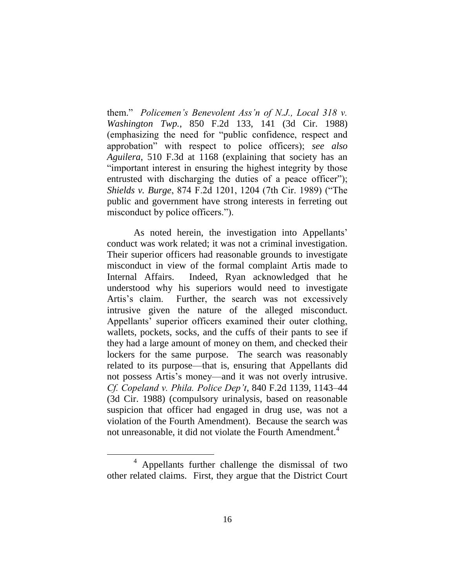them.‖ *Policemen's Benevolent Ass'n of N.J., Local 318 v. Washington Twp.*, 850 F.2d 133, 141 (3d Cir. 1988) (emphasizing the need for "public confidence, respect and approbation‖ with respect to police officers); *see also Aguilera*, 510 F.3d at 1168 (explaining that society has an "important interest in ensuring the highest integrity by those entrusted with discharging the duties of a peace officer"); *Shields v. Burge*, 874 F.2d 1201, 1204 (7th Cir. 1989) ("The public and government have strong interests in ferreting out misconduct by police officers.").

As noted herein, the investigation into Appellants' conduct was work related; it was not a criminal investigation. Their superior officers had reasonable grounds to investigate misconduct in view of the formal complaint Artis made to Internal Affairs. Indeed, Ryan acknowledged that he understood why his superiors would need to investigate Artis's claim. Further, the search was not excessively intrusive given the nature of the alleged misconduct. Appellants' superior officers examined their outer clothing, wallets, pockets, socks, and the cuffs of their pants to see if they had a large amount of money on them, and checked their lockers for the same purpose. The search was reasonably related to its purpose—that is, ensuring that Appellants did not possess Artis's money—and it was not overly intrusive. *Cf. Copeland v. Phila. Police Dep't*, 840 F.2d 1139, 1143–44 (3d Cir. 1988) (compulsory urinalysis, based on reasonable suspicion that officer had engaged in drug use, was not a violation of the Fourth Amendment). Because the search was not unreasonable, it did not violate the Fourth Amendment.<sup>4</sup>

<sup>4</sup> Appellants further challenge the dismissal of two other related claims. First, they argue that the District Court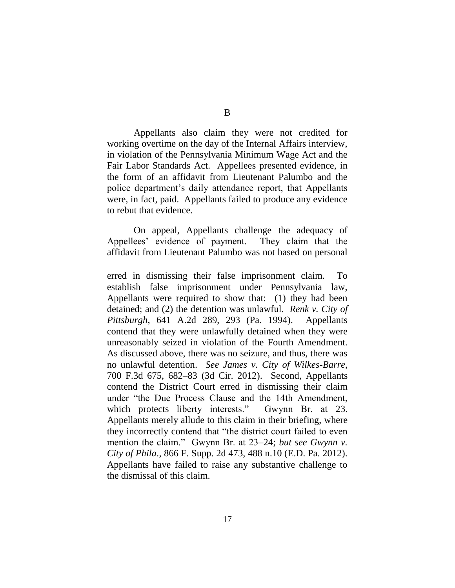B

Appellants also claim they were not credited for working overtime on the day of the Internal Affairs interview, in violation of the Pennsylvania Minimum Wage Act and the Fair Labor Standards Act. Appellees presented evidence, in the form of an affidavit from Lieutenant Palumbo and the police department's daily attendance report, that Appellants were, in fact, paid. Appellants failed to produce any evidence to rebut that evidence.

On appeal, Appellants challenge the adequacy of Appellees' evidence of payment. They claim that the affidavit from Lieutenant Palumbo was not based on personal

 $\overline{a}$ 

erred in dismissing their false imprisonment claim. To establish false imprisonment under Pennsylvania law, Appellants were required to show that: (1) they had been detained; and (2) the detention was unlawful. *Renk v. City of Pittsburgh*, 641 A.2d 289, 293 (Pa. 1994). Appellants contend that they were unlawfully detained when they were unreasonably seized in violation of the Fourth Amendment. As discussed above, there was no seizure, and thus, there was no unlawful detention. *See James v. City of Wilkes-Barre*, 700 F.3d 675, 682–83 (3d Cir. 2012). Second, Appellants contend the District Court erred in dismissing their claim under "the Due Process Clause and the 14th Amendment, which protects liberty interests." Gwynn Br. at 23. Appellants merely allude to this claim in their briefing, where they incorrectly contend that "the district court failed to even mention the claim." Gwynn Br. at 23–24; *but see Gwynn v*. *City of Phila*., 866 F. Supp. 2d 473, 488 n.10 (E.D. Pa. 2012). Appellants have failed to raise any substantive challenge to the dismissal of this claim.